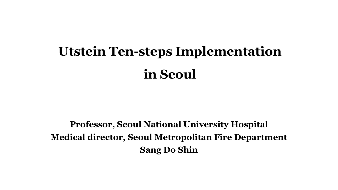**Professor, Seoul National University Hospital Medical director, Seoul Metropolitan Fire Department Sang Do Shin**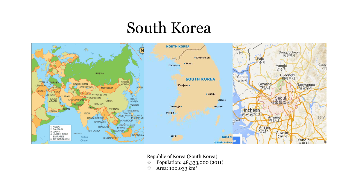### South Korea



Republic of Korea (South Korea)

- $\text{\textbullet}$  Population: 48,333,000 (2011)
- $\div$  Area: 100,033 km<sup>2</sup>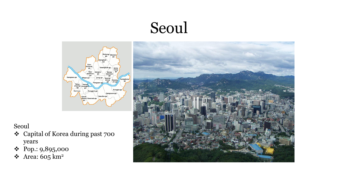### Seoul





- Capital of Korea during past 700 years
- Pop.: 9,895,000
- $\div$  Area: 605 km<sup>2</sup>

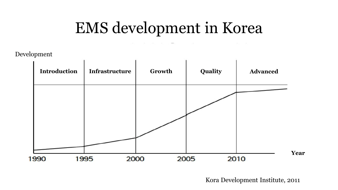### EMS development in Korea

Development



Kora Development Institute, 2011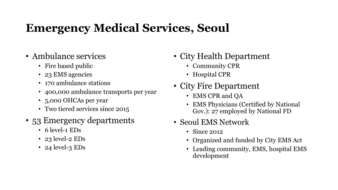### **Emergency Medical Services, Seoul**

- Ambulance services
	- Fire based public
	- 23 EMS agencies
	- 170 ambulance stations
	- 400,000 ambulance transports per year
	- 5,000 OHCAs per year
	- Two tiered services since 2015
- 53 Emergency departments
	- 6 level-1 EDs
	- 23 level-2 EDs
	- 24 level-3 EDs
- City Health Department
	- Community CPR
	- Hospital CPR
- City Fire Department
	- EMS CPR and QA
	- EMS Physicians (Certified by National Gov.): 27 employed by National FD
- Seoul EMS Network
	- $\cdot$  Since 2012
	- Organized and funded by City EMS Act
	- Leading community, EMS, hospital EMS development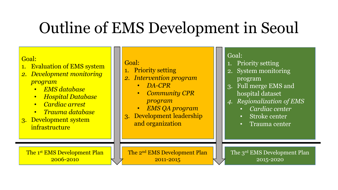### Outline of EMS Development in Seoul

#### Goal:

- **Evaluation of EMS system**
- *2. Development monitoring program*
	- *EMS database*
	- *Hospital Database*
	- *Cardiac arrest*
	- *Trauma database*
- 3. Development system infrastructure

Goal:

- 1. Priority setting
- *2. Intervention program*
	- *DA-CPR*
	- *Community CPR program*
	- *EMS QA program*
- 3. Development leadership and organization

#### Goal:

- 1. Priority setting
- 2. System monitoring program
- 3. Full merge EMS and hospital dataset
- *4. Regionalization of EMS*
	- *Cardiac center*
	- Stroke center
	- Trauma center

The 1<sup>st</sup> EMS Development Plan 2006-2010

The 2<sup>nd</sup> EMS Development Plan 2011-2015

The 3<sup>rd</sup> EMS Development Plan 2015-2020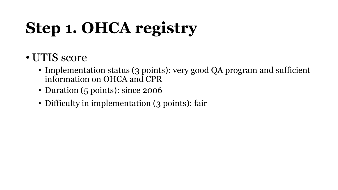## **Step 1. OHCA registry**

- UTIS score
	- Implementation status (3 points): very good QA program and sufficient information on OHCA and CPR
	- Duration (5 points): since 2006
	- Difficulty in implementation (3 points): fair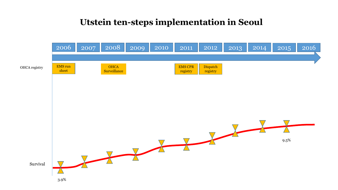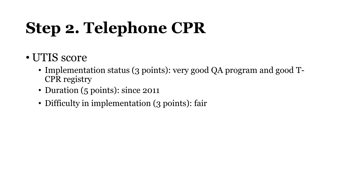### **Step 2. Telephone CPR**

- UTIS score
	- Implementation status (3 points): very good QA program and good T-CPR registry
	- Duration (5 points): since 2011
	- Difficulty in implementation (3 points): fair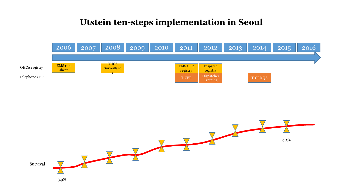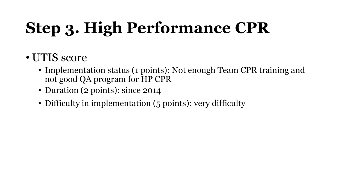### **Step 3. High Performance CPR**

- UTIS score
	- Implementation status (1 points): Not enough Team CPR training and not good QA program for HP CPR
	- Duration (2 points): since 2014
	- Difficulty in implementation (5 points): very difficulty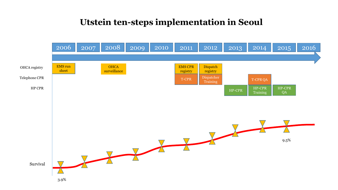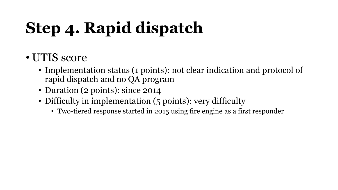## **Step 4. Rapid dispatch**

- UTIS score
	- Implementation status (1 points): not clear indication and protocol of rapid dispatch and no QA program
	- Duration (2 points): since 2014
	- Difficulty in implementation (5 points): very difficulty
		- Two-tiered response started in 2015 using fire engine as a first responder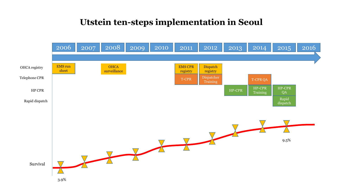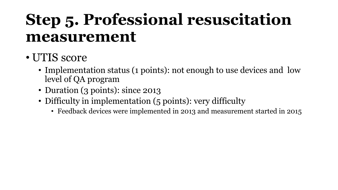### **Step 5. Professional resuscitation measurement**

- UTIS score
	- Implementation status (1 points): not enough to use devices and low level of QA program
	- Duration (3 points): since 2013
	- Difficulty in implementation (5 points): very difficulty
		- Feedback devices were implemented in 2013 and measurement started in 2015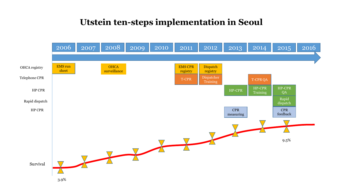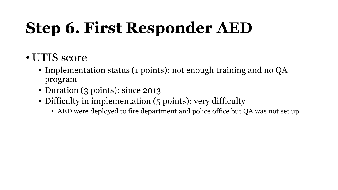### **Step 6. First Responder AED**

- UTIS score
	- Implementation status (1 points): not enough training and no QA program
	- Duration (3 points): since 2013
	- Difficulty in implementation (5 points): very difficulty
		- AED were deployed to fire department and police office but QA was not set up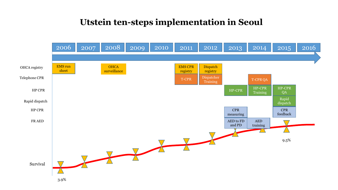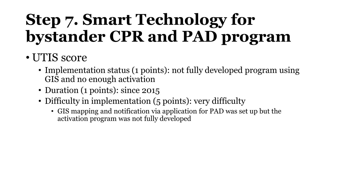### **Step 7. Smart Technology for bystander CPR and PAD program**

### • UTIS score

- Implementation status (1 points): not fully developed program using GIS and no enough activation
- Duration (1 points): since 2015
- Difficulty in implementation (5 points): very difficulty
	- GIS mapping and notification via application for PAD was set up but the activation program was not fully developed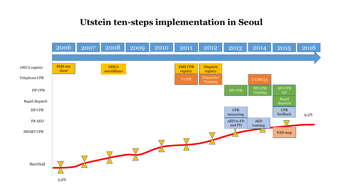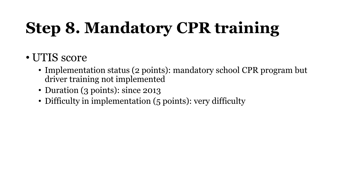### **Step 8. Mandatory CPR training**

- UTIS score
	- Implementation status (2 points): mandatory school CPR program but driver training not implemented
	- Duration (3 points): since 2013
	- Difficulty in implementation (5 points): very difficulty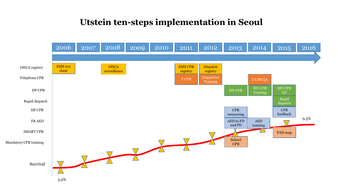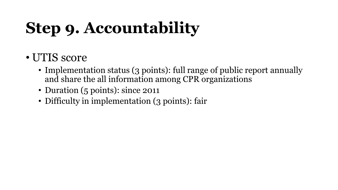## **Step 9. Accountability**

- UTIS score
	- Implementation status (3 points): full range of public report annually and share the all information among CPR organizations
	- Duration (5 points): since 2011
	- Difficulty in implementation (3 points): fair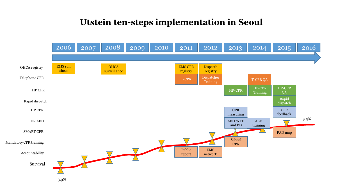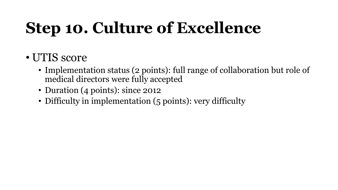### **Step 10. Culture of Excellence**

- UTIS score
	- Implementation status (2 points): full range of collaboration but role of medical directors were fully accepted
	- Duration (4 points): since 2012
	- Difficulty in implementation (5 points): very difficulty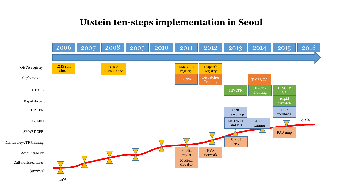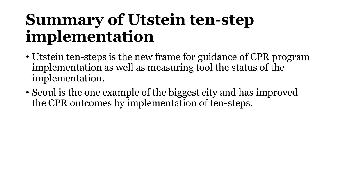### **Summary of Utstein ten-step implementation**

- Utstein ten-steps is the new frame for guidance of CPR program implementation as well as measuring tool the status of the implementation.
- Seoul is the one example of the biggest city and has improved the CPR outcomes by implementation of ten-steps.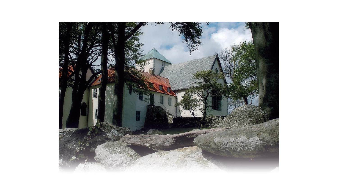